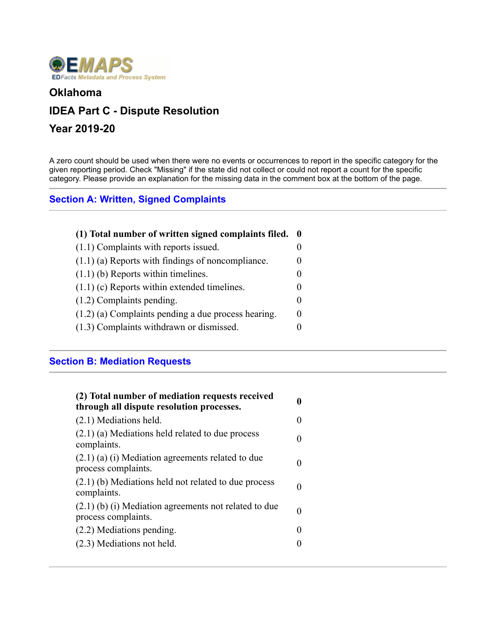

#### **Oklahoma**

# **IDEA Part C - Dispute Resolution**

## **Year 2019-20**

A zero count should be used when there were no events or occurrences to report in the specific category for the given reporting period. Check "Missing" if the state did not collect or could not report a count for the specific category. Please provide an explanation for the missing data in the comment box at the bottom of the page.

#### **Section A: Written, Signed Complaints**

| (1) Total number of written signed complaints filed. 0 |          |
|--------------------------------------------------------|----------|
| (1.1) Complaints with reports issued.                  |          |
| $(1.1)$ (a) Reports with findings of noncompliance.    |          |
| $(1.1)$ (b) Reports within timelines.                  |          |
| $(1.1)$ (c) Reports within extended timelines.         |          |
| $(1.2)$ Complaints pending.                            | $\Omega$ |
| $(1.2)$ (a) Complaints pending a due process hearing.  | 0        |
| (1.3) Complaints withdrawn or dismissed.               |          |
|                                                        |          |

#### **Section B: Mediation Requests**

| (2) Total number of mediation requests received<br>through all dispute resolution processes. | 0                 |
|----------------------------------------------------------------------------------------------|-------------------|
| (2.1) Mediations held.                                                                       | $_{0}$            |
| $(2.1)$ (a) Mediations held related to due process<br>complaints.                            | $\theta$          |
| $(2.1)$ (a) (i) Mediation agreements related to due<br>process complaints.                   | $\theta$          |
| $(2.1)$ (b) Mediations held not related to due process<br>complaints.                        | 0                 |
| $(2.1)$ (b) (i) Mediation agreements not related to due<br>process complaints.               | $\mathbf{0}$      |
| (2.2) Mediations pending.                                                                    | $\mathbf{0}$      |
| (2.3) Mediations not held.                                                                   | $\mathbf{\Omega}$ |
|                                                                                              |                   |